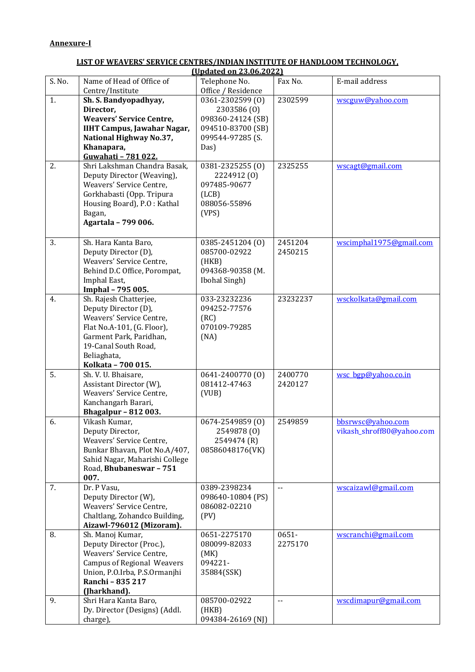## **LIST OF WEAVERS' SERVICE CENTRES/INDIAN INSTITUTE OF HANDLOOM TECHNOLOGY,**

| (Updated on 23.06.2022) |                                              |                            |                            |                           |
|-------------------------|----------------------------------------------|----------------------------|----------------------------|---------------------------|
| S. No.                  | Name of Head of Office of                    | Telephone No.              | Fax No.                    | E-mail address            |
|                         | Centre/Institute                             | Office / Residence         |                            |                           |
| 1.                      | Sh. S. Bandyopadhyay,                        | 0361-2302599 (0)           | 2302599                    | wscguw@yahoo.com          |
|                         | Director,                                    | 2303586 (0)                |                            |                           |
|                         | <b>Weavers' Service Centre,</b>              | 098360-24124 (SB)          |                            |                           |
|                         | <b>IIHT Campus, Jawahar Nagar,</b>           | 094510-83700 (SB)          |                            |                           |
|                         | National Highway No.37,                      | 099544-97285 (S.           |                            |                           |
|                         | Khanapara,                                   | Das)                       |                            |                           |
|                         | Guwahati - 781 022.                          |                            |                            |                           |
| 2.                      | Shri Lakshman Chandra Basak,                 | 0381-2325255 (0)           | 2325255                    | wscagt@gmail.com          |
|                         | Deputy Director (Weaving),                   | 2224912 (0)                |                            |                           |
|                         | Weavers' Service Centre,                     | 097485-90677               |                            |                           |
|                         | Gorkhabasti (Opp. Tripura                    | (LCB)                      |                            |                           |
|                         | Housing Board), P.O: Kathal                  | 088056-55896               |                            |                           |
|                         | Bagan,                                       | (VPS)                      |                            |                           |
|                         | Agartala - 799 006.                          |                            |                            |                           |
|                         |                                              |                            |                            |                           |
| 3.                      | Sh. Hara Kanta Baro,                         | 0385-2451204 (0)           | 2451204                    | wscimphal1975@gmail.com   |
|                         | Deputy Director (D),                         | 085700-02922               | 2450215                    |                           |
|                         | Weavers' Service Centre,                     | (HKB)                      |                            |                           |
|                         | Behind D.C Office, Porompat,                 | 094368-90358 (M.           |                            |                           |
|                         | Imphal East,                                 | Ibohal Singh)              |                            |                           |
|                         | Imphal - 795 005.                            |                            |                            |                           |
| 4.                      | Sh. Rajesh Chatterjee,                       | 033-23232236               | 23232237                   | wsckolkata@gmail.com      |
|                         | Deputy Director (D),                         | 094252-77576               |                            |                           |
|                         | Weavers' Service Centre,                     | (RC)                       |                            |                           |
|                         | Flat No.A-101, (G. Floor),                   | 070109-79285               |                            |                           |
|                         | Garment Park, Paridhan,                      | (NA)                       |                            |                           |
|                         | 19-Canal South Road,                         |                            |                            |                           |
|                         | Beliaghata,                                  |                            |                            |                           |
|                         | Kolkata - 700 015.                           |                            |                            |                           |
| 5.                      | Sh. V. U. Bhaisare,                          | 0641-2400770 (0)           | 2400770                    | wsc bgp@yahoo.co.in       |
|                         | Assistant Director (W),                      | 081412-47463               | 2420127                    |                           |
|                         | Weavers' Service Centre,                     | (VUB)                      |                            |                           |
|                         | Kanchangarh Barari,                          |                            |                            |                           |
|                         | <b>Bhagalpur - 812 003.</b>                  |                            |                            |                           |
| 6.                      | Vikash Kumar,                                | 0674-2549859 (0)           | 2549859                    | bbsrwsc@yahoo.com         |
|                         | Deputy Director,<br>Weavers' Service Centre, | 2549878 (0)<br>2549474 (R) |                            | vikash_shroff80@yahoo.com |
|                         | Bunkar Bhavan, Plot No.A/407,                | 08586048176(VK)            |                            |                           |
|                         | Sahid Nagar, Maharishi College               |                            |                            |                           |
|                         | Road, Bhubaneswar - 751                      |                            |                            |                           |
|                         | 007.                                         |                            |                            |                           |
| 7.                      | Dr. P Vasu,                                  | 0389-2398234               | $- -$                      | wscaizawl@gmail.com       |
|                         | Deputy Director (W),                         | 098640-10804 (PS)          |                            |                           |
|                         | Weavers' Service Centre,                     | 086082-02210               |                            |                           |
|                         | Chaltlang, Zohandco Building,                | (PV)                       |                            |                           |
|                         | Aizawl-796012 (Mizoram).                     |                            |                            |                           |
| 8.                      | Sh. Manoj Kumar,                             | 0651-2275170               | $0651 -$                   | wscranchi@gmail.com       |
|                         | Deputy Director (Proc.),                     | 080099-82033               | 2275170                    |                           |
|                         | Weavers' Service Centre,                     | (MK)                       |                            |                           |
|                         | <b>Campus of Regional Weavers</b>            | 094221-                    |                            |                           |
|                         | Union, P.O.Irba, P.S.Ormanjhi                | 35884(SSK)                 |                            |                           |
|                         | Ranchi - 835 217                             |                            |                            |                           |
|                         | (Jharkhand).                                 |                            |                            |                           |
| 9.                      | Shri Hara Kanta Baro,                        | 085700-02922               | $\overline{\phantom{a}}$ . | wscdimapur@gmail.com      |
|                         | Dy. Director (Designs) (Addl.                | (HKB)                      |                            |                           |
|                         | charge),                                     | 094384-26169 (NJ)          |                            |                           |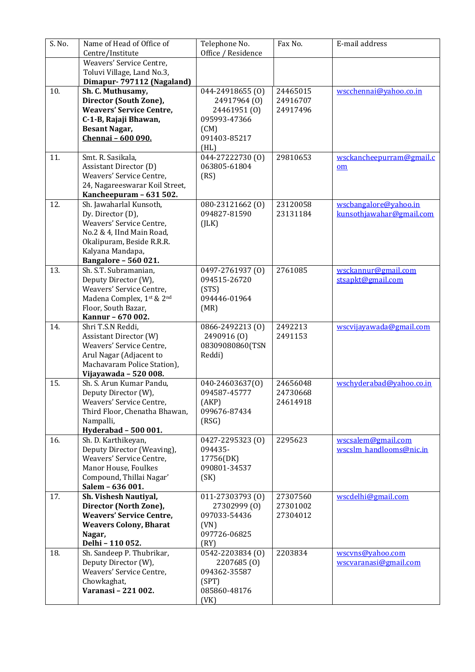| S. No. | Name of Head of Office of                                 | Telephone No.                    | Fax No.              | E-mail address                            |
|--------|-----------------------------------------------------------|----------------------------------|----------------------|-------------------------------------------|
|        | Centre/Institute                                          | Office / Residence               |                      |                                           |
|        | Weavers' Service Centre,                                  |                                  |                      |                                           |
|        | Toluvi Village, Land No.3,                                |                                  |                      |                                           |
|        | Dimapur- 797112 (Nagaland)                                |                                  |                      |                                           |
| 10.    | Sh. C. Muthusamy,<br>Director (South Zone),               | 044-24918655 (0)<br>24917964 (0) | 24465015<br>24916707 | wscchennai@yahoo.co.in                    |
|        | <b>Weavers' Service Centre,</b>                           | 24461951 (0)                     | 24917496             |                                           |
|        | C-1-B, Rajaji Bhawan,                                     | 095993-47366                     |                      |                                           |
|        | <b>Besant Nagar,</b>                                      | (CM)                             |                      |                                           |
|        | Chennai - 600 090.                                        | 091403-85217                     |                      |                                           |
|        |                                                           | (HL)                             |                      |                                           |
| 11.    | Smt. R. Sasikala,                                         | 044-27222730 (0)                 | 29810653             | wsckancheepurram@gmail.c                  |
|        | Assistant Director (D)                                    | 063805-61804                     |                      | om                                        |
|        | Weavers' Service Centre,                                  | (RS)                             |                      |                                           |
|        | 24, Nagareeswarar Koil Street,                            |                                  |                      |                                           |
|        | Kancheepuram - 631 502.                                   |                                  |                      |                                           |
| 12.    | Sh. Jawaharlal Kunsoth,                                   | 080-23121662 (0)                 | 23120058             | wscbangalore@yahoo.in                     |
|        | Dy. Director (D),                                         | 094827-81590                     | 23131184             | kunsothjawahar@gmail.com                  |
|        | Weavers' Service Centre,                                  | (JLK)                            |                      |                                           |
|        | No.2 & 4, IInd Main Road,                                 |                                  |                      |                                           |
|        | Okalipuram, Beside R.R.R.                                 |                                  |                      |                                           |
|        | Kalyana Mandapa,                                          |                                  |                      |                                           |
|        | <b>Bangalore - 560 021.</b><br>Sh. S.T. Subramanian,      |                                  | 2761085              |                                           |
| 13.    | Deputy Director (W),                                      | 0497-2761937 (0)<br>094515-26720 |                      | wsckannur@gmail.com<br>stsapkt@gmail.com  |
|        | Weavers' Service Centre,                                  | (STS)                            |                      |                                           |
|        | Madena Complex, 1st & 2nd                                 | 094446-01964                     |                      |                                           |
|        | Floor, South Bazar,                                       | (MR)                             |                      |                                           |
|        | Kannur - 670 002.                                         |                                  |                      |                                           |
| 14.    | Shri T.S.N Reddi,                                         | 0866-2492213 (0)                 | 2492213              | wscyjjavawada@gmail.com                   |
|        | Assistant Director (W)                                    | 2490916 (0)                      | 2491153              |                                           |
|        | Weavers' Service Centre,                                  | 08309080860(TSN                  |                      |                                           |
|        | Arul Nagar (Adjacent to                                   | Reddi)                           |                      |                                           |
|        | Machavaram Police Station),                               |                                  |                      |                                           |
|        | Vijayawada - 520 008.                                     |                                  |                      |                                           |
| 15.    | Sh. S. Arun Kumar Pandu,                                  | 040-24603637(0)                  | 24656048             | wschyderabad@yahoo.co.in                  |
|        | Deputy Director (W),                                      | 094587-45777                     | 24730668<br>24614918 |                                           |
|        | Weavers' Service Centre,<br>Third Floor, Chenatha Bhawan, | (AKP)<br>099676-87434            |                      |                                           |
|        | Nampalli,                                                 | (RSG)                            |                      |                                           |
|        | Hyderabad - 500 001.                                      |                                  |                      |                                           |
| 16.    | Sh. D. Karthikeyan,                                       | 0427-2295323 (0)                 | 2295623              | wscsalem@gmail.com                        |
|        | Deputy Director (Weaving),                                | 094435-                          |                      | wscslm handlooms@nic.in                   |
|        | Weavers' Service Centre,                                  | 17756(DK)                        |                      |                                           |
|        | Manor House, Foulkes                                      | 090801-34537                     |                      |                                           |
|        | Compound, Thillai Nagar'                                  | (SK)                             |                      |                                           |
|        | Salem - 636 001.                                          |                                  |                      |                                           |
| 17.    | Sh. Vishesh Nautiyal,                                     | 011-27303793 (0)                 | 27307560             | wscdelhi@gmail.com                        |
|        | Director (North Zone),                                    | 27302999 (0)                     | 27301002             |                                           |
|        | <b>Weavers' Service Centre,</b>                           | 097033-54436                     | 27304012             |                                           |
|        | <b>Weavers Colony, Bharat</b>                             | (VN)                             |                      |                                           |
|        | Nagar,                                                    | 097726-06825                     |                      |                                           |
|        | Delhi - 110 052.                                          | (RY)                             |                      |                                           |
| 18.    | Sh. Sandeep P. Thubrikar,<br>Deputy Director (W),         | 0542-2203834 (0)<br>2207685 (0)  | 2203834              | wscyns@yahoo.com<br>wscvaranasi@gmail.com |
|        | Weavers' Service Centre,                                  | 094362-35587                     |                      |                                           |
|        | Chowkaghat,                                               | (SPT)                            |                      |                                           |
|        | Varanasi - 221 002.                                       | 085860-48176                     |                      |                                           |
|        |                                                           | (VK)                             |                      |                                           |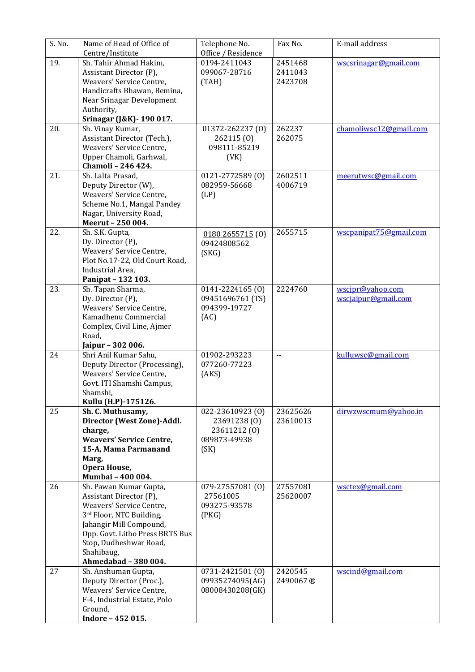| S. No. | Name of Head of Office of<br>Centre/Institute             | Telephone No.<br>Office / Residence | Fax No.                    | E-mail address         |
|--------|-----------------------------------------------------------|-------------------------------------|----------------------------|------------------------|
| 19.    | Sh. Tahir Ahmad Hakim,                                    | 0194-2411043                        | 2451468                    | wscsrinagar@gmail.com  |
|        | Assistant Director (P),                                   | 099067-28716                        | 2411043                    |                        |
|        | Weavers' Service Centre,                                  | (TAH)                               | 2423708                    |                        |
|        | Handicrafts Bhawan, Bemina,                               |                                     |                            |                        |
|        | Near Srinagar Development                                 |                                     |                            |                        |
|        | Authority,                                                |                                     |                            |                        |
|        | Srinagar (J&K) - 190 017.                                 |                                     |                            |                        |
| 20.    | Sh. Vinay Kumar,                                          | 01372-262237 (0)                    | 262237                     | chamoliwsc12@gmail.com |
|        | Assistant Director (Tech.),                               | 262115(0)                           | 262075                     |                        |
|        | Weavers' Service Centre,                                  | 098111-85219                        |                            |                        |
|        | Upper Chamoli, Garhwal,<br>Chamoli - 246 424.             | (VK)                                |                            |                        |
| 21.    | Sh. Lalta Prasad,                                         | 0121-2772589 (0)                    | 2602511                    | meerutwsc@gmail.com    |
|        | Deputy Director (W),                                      | 082959-56668                        | 4006719                    |                        |
|        | Weavers' Service Centre,                                  | (LP)                                |                            |                        |
|        | Scheme No.1, Mangal Pandey                                |                                     |                            |                        |
|        | Nagar, University Road,                                   |                                     |                            |                        |
|        | Meerut - 250 004.                                         |                                     |                            |                        |
| 22.    | Sh. S.K. Gupta,                                           | 01802655715(0)                      | 2655715                    | wscpanipat75@gmail.com |
|        | Dy. Director (P),                                         | 09424808562                         |                            |                        |
|        | Weavers' Service Centre,                                  | (SKG)                               |                            |                        |
|        | Plot No.17-22, Old Court Road,<br>Industrial Area,        |                                     |                            |                        |
|        | Panipat - 132 103.                                        |                                     |                            |                        |
| 23.    | Sh. Tapan Sharma,                                         | 0141-2224165 (0)                    | 2224760                    | wscjpr@yahoo.com       |
|        | Dy. Director (P),                                         | 09451696761 (TS)                    |                            | wscjaipur@gmail.com    |
|        | Weavers' Service Centre,                                  | 094399-19727                        |                            |                        |
|        | Kamadhenu Commercial                                      | (AC)                                |                            |                        |
|        | Complex, Civil Line, Ajmer                                |                                     |                            |                        |
|        | Road,                                                     |                                     |                            |                        |
|        | Jaipur - 302 006.                                         |                                     |                            |                        |
| 24     | Shri Anil Kumar Sahu,                                     | 01902-293223                        | $\overline{\phantom{a}}$ . | kulluwsc@gmail.com     |
|        | Deputy Director (Processing),<br>Weavers' Service Centre, | 077260-77223                        |                            |                        |
|        | Govt. ITI Shamshi Campus,                                 | (AKS)                               |                            |                        |
|        | Shamshi,                                                  |                                     |                            |                        |
|        | Kullu (H.P)-175126.                                       |                                     |                            |                        |
| 25     | Sh. C. Muthusamy,                                         | 022-23610923 (0)                    | 23625626                   | dirwzwscmum@yahoo.in   |
|        | Director (West Zone)-Addl.                                | 23691238 (0)                        | 23610013                   |                        |
|        | charge,                                                   | 23611212 (0)                        |                            |                        |
|        | <b>Weavers' Service Centre,</b>                           | 089873-49938                        |                            |                        |
|        | 15-A, Mama Parmanand                                      | (SK)                                |                            |                        |
|        | Marg,<br>Opera House,                                     |                                     |                            |                        |
|        | Mumbai - 400 004.                                         |                                     |                            |                        |
| 26     | Sh. Pawan Kumar Gupta,                                    | 079-27557081 (0)                    | 27557081                   | wsctex@gmail.com       |
|        | Assistant Director (P),                                   | 27561005                            | 25620007                   |                        |
|        | Weavers' Service Centre,                                  | 093275-93578                        |                            |                        |
|        | 3rd Floor, NTC Building,                                  | (PKG)                               |                            |                        |
|        | Jahangir Mill Compound,                                   |                                     |                            |                        |
|        | Opp. Govt. Litho Press BRTS Bus                           |                                     |                            |                        |
|        | Stop, Dudheshwar Road,                                    |                                     |                            |                        |
|        | Shahibaug,                                                |                                     |                            |                        |
| 27     | Ahmedabad - 380 004.<br>Sh. Anshuman Gupta,               | 0731-2421501 (0)                    | 2420545                    | wscind@gmail.com       |
|        | Deputy Director (Proc.),                                  | 09935274095(AG)                     | 2490067 ®                  |                        |
|        | Weavers' Service Centre,                                  | 08008430208(GK)                     |                            |                        |
|        | F-4, Industrial Estate, Polo                              |                                     |                            |                        |
|        | Ground,                                                   |                                     |                            |                        |
|        | Indore - 452 015.                                         |                                     |                            |                        |